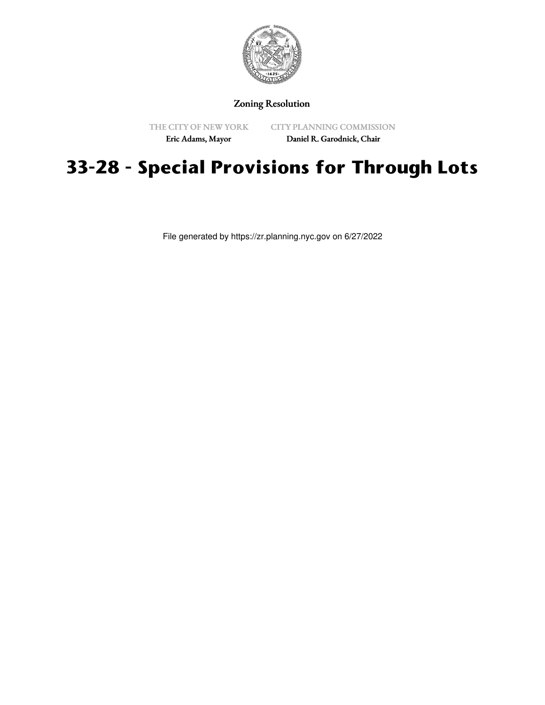

#### Zoning Resolution

THE CITY OF NEW YORK

CITY PLANNING COMMISSION

Eric Adams, Mayor

Daniel R. Garodnick, Chair

# **33-28 - Special Provisions for Through Lots**

File generated by https://zr.planning.nyc.gov on 6/27/2022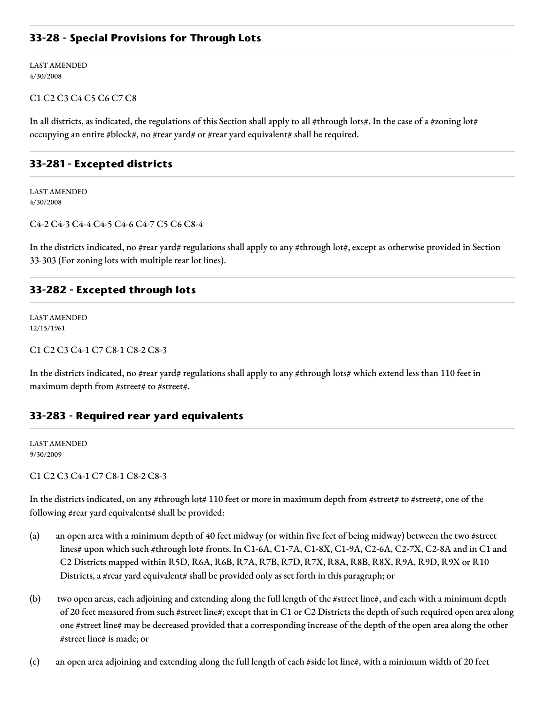## **33-28 - Special Provisions for Through Lots**

LAST AMENDED 4/30/2008

#### C1 C2 C3 C4 C5 C6 C7 C8

In all districts, as indicated, the regulations of this Section shall apply to all #through lots#. In the case of a #zoning lot# occupying an entire #block#, no #rear yard# or #rear yard equivalent# shall be required.

## **33-281 - Excepted districts**

LAST AMENDED 4/30/2008

#### C4-2 C4-3 C4-4 C4-5 C4-6 C4-7 C5 C6 C8-4

In the districts indicated, no #rear yard# regulations shall apply to any #through lot#, except as otherwise provided in Section 33-303 (For zoning lots with multiple rear lot lines).

#### **33-282 - Excepted through lots**

LAST AMENDED 12/15/1961

#### C1 C2 C3 C4-1 C7 C8-1 C8-2 C8-3

In the districts indicated, no #rear yard# regulations shall apply to any #through lots# which extend less than 110 feet in maximum depth from #street# to #street#.

## **33-283 - Required rear yard equivalents**

LAST AMENDED 9/30/2009

C1 C2 C3 C4-1 C7 C8-1 C8-2 C8-3

In the districts indicated, on any #through lot# 110 feet or more in maximum depth from #street# to #street#, one of the following #rear yard equivalents# shall be provided:

- (a) an open area with a minimum depth of 40 feet midway (or within five feet of being midway) between the two #street lines# upon which such #through lot# fronts. In C1-6A, C1-7A, C1-8X, C1-9A, C2-6A, C2-7X, C2-8A and in C1 and C2 Districts mapped within R5D, R6A, R6B, R7A, R7B, R7D, R7X, R8A, R8B, R8X, R9A, R9D, R9X or R10 Districts, a #rear yard equivalent# shall be provided only as set forth in this paragraph; or
- (b) two open areas, each adjoining and extending along the full length of the #street line#, and each with a minimum depth of 20 feet measured from such #street line#; except that in C1 or C2 Districts the depth of such required open area along one #street line# may be decreased provided that a corresponding increase of the depth of the open area along the other #street line# is made; or
- (c) an open area adjoining and extending along the full length of each #side lot line#, with a minimum width of 20 feet